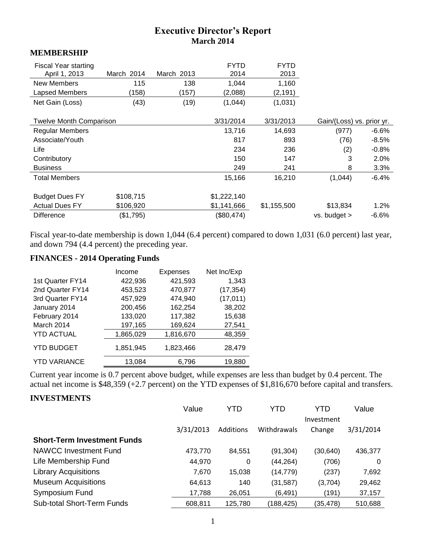# **Executive Director's Report March 2014**

#### **MEMBERSHIP**

| <b>Fiscal Year starting</b><br>April 1, 2013 | March 2014 | March 2013 | <b>FYTD</b><br>2014 | <b>FYTD</b><br>2013 |                           |          |
|----------------------------------------------|------------|------------|---------------------|---------------------|---------------------------|----------|
| New Members                                  | 115        | 138        | 1,044               | 1,160               |                           |          |
| Lapsed Members                               | (158)      | (157)      | (2,088)             | (2, 191)            |                           |          |
| Net Gain (Loss)                              | (43)       | (19)       | (1,044)             | (1,031)             |                           |          |
|                                              |            |            |                     |                     |                           |          |
| <b>Twelve Month Comparison</b>               |            |            | 3/31/2014           | 3/31/2013           | Gain/(Loss) vs. prior yr. |          |
| <b>Regular Members</b>                       |            |            | 13,716              | 14,693              | (977)                     | $-6.6%$  |
| Associate/Youth                              |            |            | 817                 | 893                 | (76)                      | $-8.5%$  |
| Life                                         |            |            | 234                 | 236                 | (2)                       | $-0.8%$  |
| Contributory                                 |            |            | 150                 | 147                 | 3                         | 2.0%     |
| <b>Business</b>                              |            |            | 249                 | 241                 | 8                         | 3.3%     |
| <b>Total Members</b>                         |            |            | 15,166              | 16,210              | (1,044)                   | $-6.4%$  |
| <b>Budget Dues FY</b>                        | \$108,715  |            | \$1,222,140         |                     |                           |          |
|                                              |            |            |                     |                     |                           |          |
| <b>Actual Dues FY</b>                        | \$106,920  |            | \$1,141,666         | \$1,155,500         | \$13,834                  | 1.2%     |
| <b>Difference</b>                            | (\$1,795)  |            | (\$80,474)          |                     | vs. budget >              | $-6.6\%$ |

Fiscal year-to-date membership is down 1,044 (6.4 percent) compared to down 1,031 (6.0 percent) last year, and down 794 (4.4 percent) the preceding year.

# **FINANCES - 2014 Operating Funds**

|                     | Income    | <b>Expenses</b> | Net Inc/Exp |
|---------------------|-----------|-----------------|-------------|
| 1st Quarter FY14    | 422,936   | 421,593         | 1,343       |
| 2nd Quarter FY14    | 453,523   | 470,877         | (17, 354)   |
| 3rd Quarter FY14    | 457,929   | 474,940         | (17, 011)   |
| January 2014        | 200,456   | 162,254         | 38,202      |
| February 2014       | 133,020   | 117,382         | 15,638      |
| March 2014          | 197,165   | 169,624         | 27,541      |
| <b>YTD ACTUAL</b>   | 1,865,029 | 1,816,670       | 48,359      |
| <b>YTD BUDGET</b>   | 1,851,945 | 1,823,466       | 28,479      |
| <b>YTD VARIANCE</b> | 13,084    | 6,796           | 19,880      |

Current year income is 0.7 percent above budget, while expenses are less than budget by 0.4 percent. The actual net income is \$48,359 (+2.7 percent) on the YTD expenses of \$1,816,670 before capital and transfers.

### **INVESTMENTS**

|                                    | Value     | YTD.      | YTD         | YTD        | Value     |
|------------------------------------|-----------|-----------|-------------|------------|-----------|
|                                    |           |           |             | Investment |           |
|                                    | 3/31/2013 | Additions | Withdrawals | Change     | 3/31/2014 |
| <b>Short-Term Investment Funds</b> |           |           |             |            |           |
| NAWCC Investment Fund              | 473,770   | 84,551    | (91, 304)   | (30,640)   | 436,377   |
| Life Membership Fund               | 44,970    | 0         | (44, 264)   | (706)      | 0         |
| <b>Library Acquisitions</b>        | 7,670     | 15,038    | (14, 779)   | (237)      | 7,692     |
| <b>Museum Acquisitions</b>         | 64,613    | 140       | (31, 587)   | (3,704)    | 29,462    |
| Symposium Fund                     | 17,788    | 26,051    | (6, 491)    | (191)      | 37,157    |
| Sub-total Short-Term Funds         | 608.811   | 125,780   | (188,425)   | (35,478)   | 510,688   |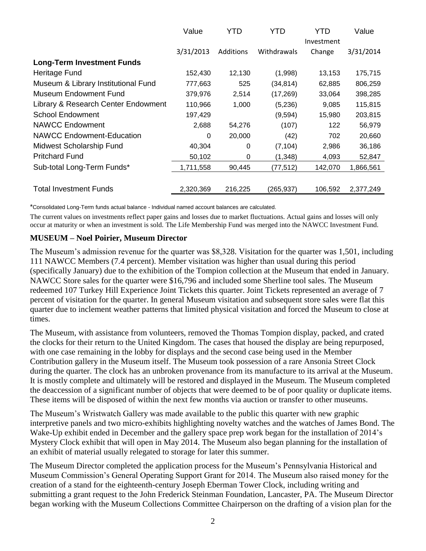|                                     | Value     | YTD       | YTD         | YTD        | Value     |
|-------------------------------------|-----------|-----------|-------------|------------|-----------|
|                                     |           |           |             | Investment |           |
|                                     | 3/31/2013 | Additions | Withdrawals | Change     | 3/31/2014 |
| <b>Long-Term Investment Funds</b>   |           |           |             |            |           |
| Heritage Fund                       | 152,430   | 12,130    | (1,998)     | 13,153     | 175,715   |
| Museum & Library Institutional Fund | 777,663   | 525       | (34, 814)   | 62,885     | 806,259   |
| Museum Endowment Fund               | 379,976   | 2,514     | (17, 269)   | 33,064     | 398,285   |
| Library & Research Center Endowment | 110,966   | 1,000     | (5,236)     | 9,085      | 115,815   |
| <b>School Endowment</b>             | 197,429   |           | (9,594)     | 15,980     | 203,815   |
| NAWCC Endowment                     | 2,688     | 54,276    | (107)       | 122        | 56,979    |
| <b>NAWCC Endowment-Education</b>    | 0         | 20,000    | (42)        | 702        | 20,660    |
| Midwest Scholarship Fund            | 40,304    | 0         | (7, 104)    | 2,986      | 36,186    |
| <b>Pritchard Fund</b>               | 50,102    | 0         | (1,348)     | 4,093      | 52,847    |
| Sub-total Long-Term Funds*          | 1,711,558 | 90,445    | (77, 512)   | 142,070    | 1,866,561 |
|                                     |           |           |             |            |           |
| <b>Total Investment Funds</b>       | 2,320,369 | 216,225   | (265,937)   | 106,592    | 2,377,249 |

\*Consolidated Long-Term funds actual balance - Individual named account balances are calculated.

The current values on investments reflect paper gains and losses due to market fluctuations. Actual gains and losses will only occur at maturity or when an investment is sold. The Life Membership Fund was merged into the NAWCC Investment Fund.

#### **MUSEUM – Noel Poirier, Museum Director**

The Museum's admission revenue for the quarter was \$8,328. Visitation for the quarter was 1,501, including 111 NAWCC Members (7.4 percent). Member visitation was higher than usual during this period (specifically January) due to the exhibition of the Tompion collection at the Museum that ended in January. NAWCC Store sales for the quarter were \$16,796 and included some Sherline tool sales. The Museum redeemed 107 Turkey Hill Experience Joint Tickets this quarter. Joint Tickets represented an average of 7 percent of visitation for the quarter. In general Museum visitation and subsequent store sales were flat this quarter due to inclement weather patterns that limited physical visitation and forced the Museum to close at times.

The Museum, with assistance from volunteers, removed the Thomas Tompion display, packed, and crated the clocks for their return to the United Kingdom. The cases that housed the display are being repurposed, with one case remaining in the lobby for displays and the second case being used in the Member Contribution gallery in the Museum itself. The Museum took possession of a rare Ansonia Street Clock during the quarter. The clock has an unbroken provenance from its manufacture to its arrival at the Museum. It is mostly complete and ultimately will be restored and displayed in the Museum. The Museum completed the deaccession of a significant number of objects that were deemed to be of poor quality or duplicate items. These items will be disposed of within the next few months via auction or transfer to other museums.

The Museum's Wristwatch Gallery was made available to the public this quarter with new graphic interpretive panels and two micro-exhibits highlighting novelty watches and the watches of James Bond. The Wake-Up exhibit ended in December and the gallery space prep work began for the installation of 2014's Mystery Clock exhibit that will open in May 2014. The Museum also began planning for the installation of an exhibit of material usually relegated to storage for later this summer.

The Museum Director completed the application process for the Museum's Pennsylvania Historical and Museum Commission's General Operating Support Grant for 2014. The Museum also raised money for the creation of a stand for the eighteenth-century Joseph Eberman Tower Clock, including writing and submitting a grant request to the John Frederick Steinman Foundation, Lancaster, PA. The Museum Director began working with the Museum Collections Committee Chairperson on the drafting of a vision plan for the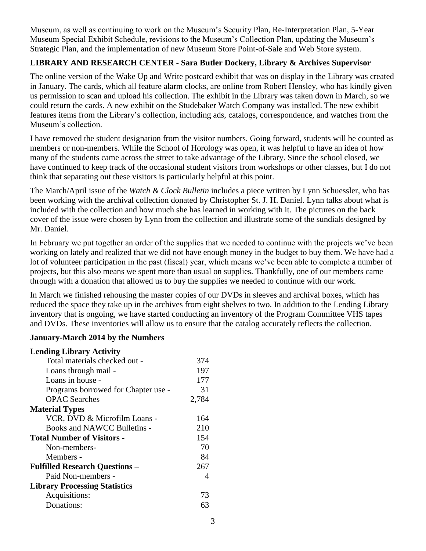Museum, as well as continuing to work on the Museum's Security Plan, Re-Interpretation Plan, 5-Year Museum Special Exhibit Schedule, revisions to the Museum's Collection Plan, updating the Museum's Strategic Plan, and the implementation of new Museum Store Point-of-Sale and Web Store system.

## **LIBRARY AND RESEARCH CENTER - Sara Butler Dockery, Library & Archives Supervisor**

The online version of the Wake Up and Write postcard exhibit that was on display in the Library was created in January. The cards, which all feature alarm clocks, are online from Robert Hensley, who has kindly given us permission to scan and upload his collection. The exhibit in the Library was taken down in March, so we could return the cards. A new exhibit on the Studebaker Watch Company was installed. The new exhibit features items from the Library's collection, including ads, catalogs, correspondence, and watches from the Museum's collection.

I have removed the student designation from the visitor numbers. Going forward, students will be counted as members or non-members. While the School of Horology was open, it was helpful to have an idea of how many of the students came across the street to take advantage of the Library. Since the school closed, we have continued to keep track of the occasional student visitors from workshops or other classes, but I do not think that separating out these visitors is particularly helpful at this point.

The March/April issue of the *Watch & Clock Bulletin* includes a piece written by Lynn Schuessler, who has been working with the archival collection donated by Christopher St. J. H. Daniel. Lynn talks about what is included with the collection and how much she has learned in working with it. The pictures on the back cover of the issue were chosen by Lynn from the collection and illustrate some of the sundials designed by Mr. Daniel.

In February we put together an order of the supplies that we needed to continue with the projects we've been working on lately and realized that we did not have enough money in the budget to buy them. We have had a lot of volunteer participation in the past (fiscal) year, which means we've been able to complete a number of projects, but this also means we spent more than usual on supplies. Thankfully, one of our members came through with a donation that allowed us to buy the supplies we needed to continue with our work.

In March we finished rehousing the master copies of our DVDs in sleeves and archival boxes, which has reduced the space they take up in the archives from eight shelves to two. In addition to the Lending Library inventory that is ongoing, we have started conducting an inventory of the Program Committee VHS tapes and DVDs. These inventories will allow us to ensure that the catalog accurately reflects the collection.

### **January-March 2014 by the Numbers**

#### **Lending Library Activity**

| Total materials checked out -         | 374   |
|---------------------------------------|-------|
| Loans through mail -                  | 197   |
| Loans in house -                      | 177   |
| Programs borrowed for Chapter use -   | 31    |
| <b>OPAC</b> Searches                  | 2,784 |
| <b>Material Types</b>                 |       |
| VCR, DVD & Microfilm Loans -          | 164   |
| Books and NAWCC Bulletins -           | 210   |
| <b>Total Number of Visitors -</b>     | 154   |
| Non-members-                          | 70    |
| Members -                             | 84    |
| <b>Fulfilled Research Questions –</b> | 267   |
| Paid Non-members -                    | 4     |
| <b>Library Processing Statistics</b>  |       |
| Acquisitions:                         | 73    |
| Donations:                            | 63    |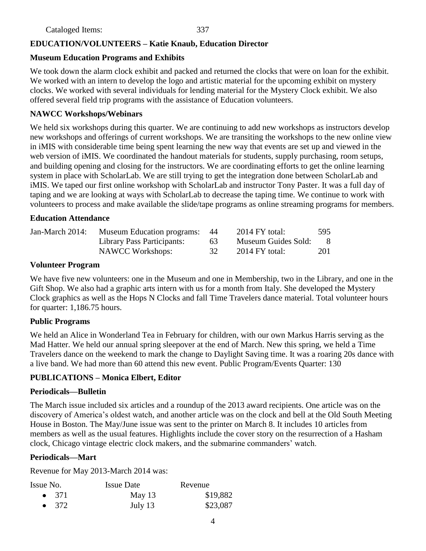# **EDUCATION/VOLUNTEERS – Katie Knaub, Education Director**

# **Museum Education Programs and Exhibits**

We took down the alarm clock exhibit and packed and returned the clocks that were on loan for the exhibit. We worked with an intern to develop the logo and artistic material for the upcoming exhibit on mystery clocks. We worked with several individuals for lending material for the Mystery Clock exhibit. We also offered several field trip programs with the assistance of Education volunteers.

## **NAWCC Workshops/Webinars**

We held six workshops during this quarter. We are continuing to add new workshops as instructors develop new workshops and offerings of current workshops. We are transiting the workshops to the new online view in iMIS with considerable time being spent learning the new way that events are set up and viewed in the web version of iMIS. We coordinated the handout materials for students, supply purchasing, room setups, and building opening and closing for the instructors. We are coordinating efforts to get the online learning system in place with ScholarLab. We are still trying to get the integration done between ScholarLab and iMIS. We taped our first online workshop with ScholarLab and instructor Tony Paster. It was a full day of taping and we are looking at ways with ScholarLab to decrease the taping time. We continue to work with volunteers to process and make available the slide/tape programs as online streaming programs for members.

### **Education Attendance**

| Jan-March 2014: | <b>Museum Education programs:</b> 44 |    | $2014$ FY total:    | 595        |
|-----------------|--------------------------------------|----|---------------------|------------|
|                 | Library Pass Participants:           | 63 | Museum Guides Sold: | -8         |
|                 | <b>NAWCC Workshops:</b>              | 32 | $2014$ FY total:    | <b>201</b> |

#### **Volunteer Program**

We have five new volunteers: one in the Museum and one in Membership, two in the Library, and one in the Gift Shop. We also had a graphic arts intern with us for a month from Italy. She developed the Mystery Clock graphics as well as the Hops N Clocks and fall Time Travelers dance material. Total volunteer hours for quarter: 1,186.75 hours.

### **Public Programs**

We held an Alice in Wonderland Tea in February for children, with our own Markus Harris serving as the Mad Hatter. We held our annual spring sleepover at the end of March. New this spring, we held a Time Travelers dance on the weekend to mark the change to Daylight Saving time. It was a roaring 20s dance with a live band. We had more than 60 attend this new event. Public Program/Events Quarter: 130

### **PUBLICATIONS – Monica Elbert, Editor**

### **Periodicals—Bulletin**

The March issue included six articles and a roundup of the 2013 award recipients. One article was on the discovery of America's oldest watch, and another article was on the clock and bell at the Old South Meeting House in Boston. The May/June issue was sent to the printer on March 8. It includes 10 articles from members as well as the usual features. Highlights include the cover story on the resurrection of a Hasham clock, Chicago vintage electric clock makers, and the submarine commanders' watch.

### **Periodicals—Mart**

Revenue for May 2013-March 2014 was:

| Issue No.     | <b>Issue Date</b> | Revenue  |
|---------------|-------------------|----------|
| $\bullet$ 371 | May $13$          | \$19,882 |
| $\bullet$ 372 | July 13           | \$23,087 |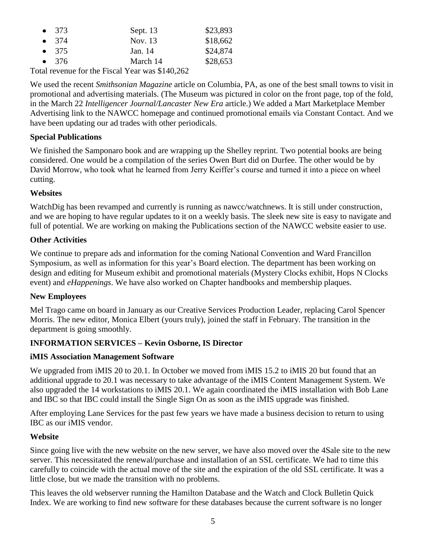| $\bullet$ 373                                                                                                                                                                                                                                                                                                                   | Sept. 13 | \$23,893 |
|---------------------------------------------------------------------------------------------------------------------------------------------------------------------------------------------------------------------------------------------------------------------------------------------------------------------------------|----------|----------|
| $\bullet$ 374                                                                                                                                                                                                                                                                                                                   | Nov. 13  | \$18,662 |
| $\bullet$ 375                                                                                                                                                                                                                                                                                                                   | Jan. 14  | \$24,874 |
| $\bullet$ 376                                                                                                                                                                                                                                                                                                                   | March 14 | \$28,653 |
| $\mathcal{L}$ 1 $\mathcal{L}$ 1 $\mathcal{L}$ 1 $\mathcal{L}$ 1 $\mathcal{L}$ 1 $\mathcal{L}$ 1 $\mathcal{L}$ 1 $\mathcal{L}$ 1 $\mathcal{L}$ 1 $\mathcal{L}$ 1 $\mathcal{L}$ 1 $\mathcal{L}$ 1 $\mathcal{L}$ 1 $\mathcal{L}$ 1 $\mathcal{L}$ 1 $\mathcal{L}$ 1 $\mathcal{L}$ 1 $\mathcal{L}$ 1 $\mathcal{L}$ 1 $\mathcal{L}$ 1 |          |          |

Total revenue for the Fiscal Year was \$140,262

We used the recent *Smithsonian Magazine* article on Columbia, PA, as one of the best small towns to visit in promotional and advertising materials. (The Museum was pictured in color on the front page, top of the fold, in the March 22 *Intelligencer Journal/Lancaster New Era* article.) We added a Mart Marketplace Member Advertising link to the NAWCC homepage and continued promotional emails via Constant Contact. And we have been updating our ad trades with other periodicals.

### **Special Publications**

We finished the Samponaro book and are wrapping up the Shelley reprint. Two potential books are being considered. One would be a compilation of the series Owen Burt did on Durfee. The other would be by David Morrow, who took what he learned from Jerry Keiffer's course and turned it into a piece on wheel cutting.

### **Websites**

WatchDig has been revamped and currently is running as nawcc/watchnews. It is still under construction, and we are hoping to have regular updates to it on a weekly basis. The sleek new site is easy to navigate and full of potential. We are working on making the Publications section of the NAWCC website easier to use.

### **Other Activities**

We continue to prepare ads and information for the coming National Convention and Ward Francillon Symposium, as well as information for this year's Board election. The department has been working on design and editing for Museum exhibit and promotional materials (Mystery Clocks exhibit, Hops N Clocks event) and *eHappenings*. We have also worked on Chapter handbooks and membership plaques.

### **New Employees**

Mel Trago came on board in January as our Creative Services Production Leader, replacing Carol Spencer Morris. The new editor, Monica Elbert (yours truly), joined the staff in February. The transition in the department is going smoothly.

# **INFORMATION SERVICES – Kevin Osborne, IS Director**

### **iMIS Association Management Software**

We upgraded from iMIS 20 to 20.1. In October we moved from iMIS 15.2 to iMIS 20 but found that an additional upgrade to 20.1 was necessary to take advantage of the iMIS Content Management System. We also upgraded the 14 workstations to iMIS 20.1. We again coordinated the iMIS installation with Bob Lane and IBC so that IBC could install the Single Sign On as soon as the iMIS upgrade was finished.

After employing Lane Services for the past few years we have made a business decision to return to using IBC as our iMIS vendor.

# **Website**

Since going live with the new website on the new server, we have also moved over the 4Sale site to the new server. This necessitated the renewal/purchase and installation of an SSL certificate. We had to time this carefully to coincide with the actual move of the site and the expiration of the old SSL certificate. It was a little close, but we made the transition with no problems.

This leaves the old webserver running the Hamilton Database and the Watch and Clock Bulletin Quick Index. We are working to find new software for these databases because the current software is no longer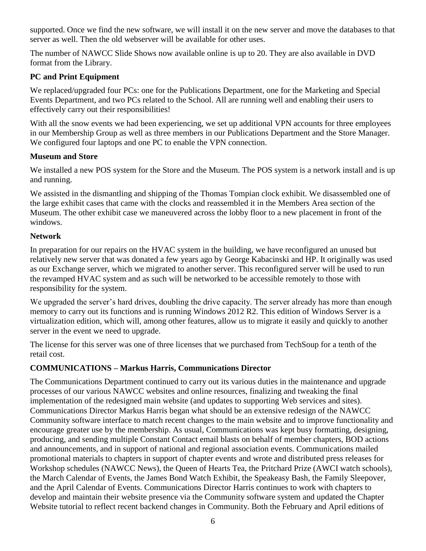supported. Once we find the new software, we will install it on the new server and move the databases to that server as well. Then the old webserver will be available for other uses.

The number of NAWCC Slide Shows now available online is up to 20. They are also available in DVD format from the Library.

# **PC and Print Equipment**

We replaced/upgraded four PCs: one for the Publications Department, one for the Marketing and Special Events Department, and two PCs related to the School. All are running well and enabling their users to effectively carry out their responsibilities!

With all the snow events we had been experiencing, we set up additional VPN accounts for three employees in our Membership Group as well as three members in our Publications Department and the Store Manager. We configured four laptops and one PC to enable the VPN connection.

### **Museum and Store**

We installed a new POS system for the Store and the Museum. The POS system is a network install and is up and running.

We assisted in the dismantling and shipping of the Thomas Tompian clock exhibit. We disassembled one of the large exhibit cases that came with the clocks and reassembled it in the Members Area section of the Museum. The other exhibit case we maneuvered across the lobby floor to a new placement in front of the windows.

### **Network**

In preparation for our repairs on the HVAC system in the building, we have reconfigured an unused but relatively new server that was donated a few years ago by George Kabacinski and HP. It originally was used as our Exchange server, which we migrated to another server. This reconfigured server will be used to run the revamped HVAC system and as such will be networked to be accessible remotely to those with responsibility for the system.

We upgraded the server's hard drives, doubling the drive capacity. The server already has more than enough memory to carry out its functions and is running Windows 2012 R2. This edition of Windows Server is a virtualization edition, which will, among other features, allow us to migrate it easily and quickly to another server in the event we need to upgrade.

The license for this server was one of three licenses that we purchased from TechSoup for a tenth of the retail cost.

# **COMMUNICATIONS – Markus Harris, Communications Director**

The Communications Department continued to carry out its various duties in the maintenance and upgrade processes of our various NAWCC websites and online resources, finalizing and tweaking the final implementation of the redesigned main website (and updates to supporting Web services and sites). Communications Director Markus Harris began what should be an extensive redesign of the NAWCC Community software interface to match recent changes to the main website and to improve functionality and encourage greater use by the membership. As usual, Communications was kept busy formatting, designing, producing, and sending multiple Constant Contact email blasts on behalf of member chapters, BOD actions and announcements, and in support of national and regional association events. Communications mailed promotional materials to chapters in support of chapter events and wrote and distributed press releases for Workshop schedules (NAWCC News), the Queen of Hearts Tea, the Pritchard Prize (AWCI watch schools), the March Calendar of Events, the James Bond Watch Exhibit, the Speakeasy Bash, the Family Sleepover, and the April Calendar of Events. Communications Director Harris continues to work with chapters to develop and maintain their website presence via the Community software system and updated the Chapter Website tutorial to reflect recent backend changes in Community. Both the February and April editions of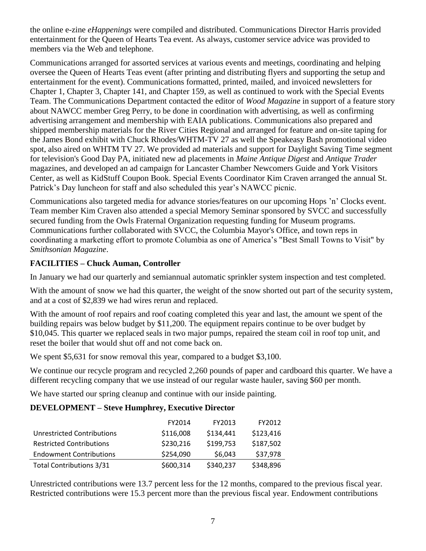the online e-zine *eHappenings* were compiled and distributed. Communications Director Harris provided entertainment for the Queen of Hearts Tea event. As always, customer service advice was provided to members via the Web and telephone.

Communications arranged for assorted services at various events and meetings, coordinating and helping oversee the Queen of Hearts Teas event (after printing and distributing flyers and supporting the setup and entertainment for the event). Communications formatted, printed, mailed, and invoiced newsletters for Chapter 1, Chapter 3, Chapter 141, and Chapter 159, as well as continued to work with the Special Events Team. The Communications Department contacted the editor of *Wood Magazine* in support of a feature story about NAWCC member Greg Perry, to be done in coordination with advertising, as well as confirming advertising arrangement and membership with EAIA publications. Communications also prepared and shipped membership materials for the River Cities Regional and arranged for feature and on-site taping for the James Bond exhibit with Chuck Rhodes/WHTM-TV 27 as well the Speakeasy Bash promotional video spot, also aired on WHTM TV 27. We provided ad materials and support for Daylight Saving Time segment for television's Good Day PA, initiated new ad placements in *Maine Antique Digest* and *Antique Trader* magazines, and developed an ad campaign for Lancaster Chamber Newcomers Guide and York Visitors Center, as well as KidStuff Coupon Book. Special Events Coordinator Kim Craven arranged the annual St. Patrick's Day luncheon for staff and also scheduled this year's NAWCC picnic.

Communications also targeted media for advance stories/features on our upcoming Hops 'n' Clocks event. Team member Kim Craven also attended a special Memory Seminar sponsored by SVCC and successfully secured funding from the Owls Fraternal Organization requesting funding for Museum programs. Communications further collaborated with SVCC, the Columbia Mayor's Office, and town reps in coordinating a marketing effort to promote Columbia as one of America's "Best Small Towns to Visit" by *Smithsonian Magazine*.

# **FACILITIES – Chuck Auman, Controller**

In January we had our quarterly and semiannual automatic sprinkler system inspection and test completed.

With the amount of snow we had this quarter, the weight of the snow shorted out part of the security system, and at a cost of \$2,839 we had wires rerun and replaced.

With the amount of roof repairs and roof coating completed this year and last, the amount we spent of the building repairs was below budget by \$11,200. The equipment repairs continue to be over budget by \$10,045. This quarter we replaced seals in two major pumps, repaired the steam coil in roof top unit, and reset the boiler that would shut off and not come back on.

We spent \$5,631 for snow removal this year, compared to a budget \$3,100.

We continue our recycle program and recycled 2,260 pounds of paper and cardboard this quarter. We have a different recycling company that we use instead of our regular waste hauler, saving \$60 per month.

We have started our spring cleanup and continue with our inside painting.

### **DEVELOPMENT – Steve Humphrey, Executive Director**

|                                 | FY2014    | FY2013    | FY2012    |
|---------------------------------|-----------|-----------|-----------|
| Unrestricted Contributions      | \$116,008 | \$134,441 | \$123,416 |
| <b>Restricted Contributions</b> | \$230,216 | \$199,753 | \$187,502 |
| <b>Endowment Contributions</b>  | \$254,090 | \$6,043   | \$37,978  |
| <b>Total Contributions 3/31</b> | \$600,314 | \$340,237 | \$348,896 |

Unrestricted contributions were 13.7 percent less for the 12 months, compared to the previous fiscal year. Restricted contributions were 15.3 percent more than the previous fiscal year. Endowment contributions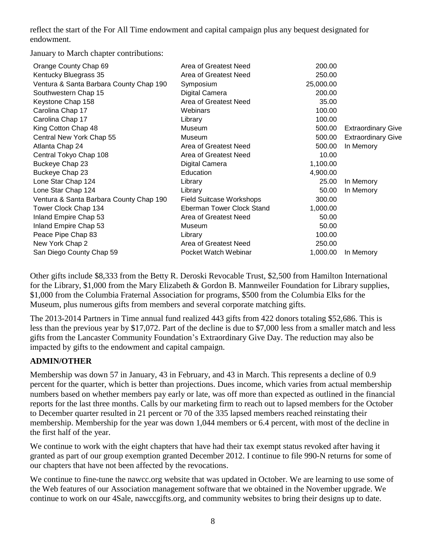reflect the start of the For All Time endowment and capital campaign plus any bequest designated for endowment.

January to March chapter contributions:

| Orange County Chap 69                   | Area of Greatest Need           | 200.00    |                           |
|-----------------------------------------|---------------------------------|-----------|---------------------------|
| Kentucky Bluegrass 35                   | Area of Greatest Need           | 250.00    |                           |
| Ventura & Santa Barbara County Chap 190 | Symposium                       | 25,000.00 |                           |
| Southwestern Chap 15                    | Digital Camera                  | 200.00    |                           |
| Keystone Chap 158                       | Area of Greatest Need           | 35.00     |                           |
| Carolina Chap 17                        | Webinars                        | 100.00    |                           |
| Carolina Chap 17                        | Library                         | 100.00    |                           |
| King Cotton Chap 48                     | Museum                          | 500.00    | <b>Extraordinary Give</b> |
| Central New York Chap 55                | Museum                          | 500.00    | <b>Extraordinary Give</b> |
| Atlanta Chap 24                         | Area of Greatest Need           | 500.00    | In Memory                 |
| Central Tokyo Chap 108                  | Area of Greatest Need           | 10.00     |                           |
| Buckeye Chap 23                         | Digital Camera                  | 1,100.00  |                           |
| Buckeye Chap 23                         | Education                       | 4,900.00  |                           |
| Lone Star Chap 124                      | Library                         | 25.00     | In Memory                 |
| Lone Star Chap 124                      | Library                         | 50.00     | In Memory                 |
| Ventura & Santa Barbara County Chap 190 | <b>Field Suitcase Workshops</b> | 300.00    |                           |
| Tower Clock Chap 134                    | Eberman Tower Clock Stand       | 1,000.00  |                           |
| Inland Empire Chap 53                   | Area of Greatest Need           | 50.00     |                           |
| Inland Empire Chap 53                   | Museum                          | 50.00     |                           |
| Peace Pipe Chap 83                      | Library                         | 100.00    |                           |
| New York Chap 2                         | Area of Greatest Need           | 250.00    |                           |
| San Diego County Chap 59                | Pocket Watch Webinar            | 1,000.00  | In Memory                 |

Other gifts include \$8,333 from the Betty R. Deroski Revocable Trust, \$2,500 from Hamilton International for the Library, \$1,000 from the Mary Elizabeth & Gordon B. Mannweiler Foundation for Library supplies, \$1,000 from the Columbia Fraternal Association for programs, \$500 from the Columbia Elks for the Museum, plus numerous gifts from members and several corporate matching gifts.

The 2013-2014 Partners in Time annual fund realized 443 gifts from 422 donors totaling \$52,686. This is less than the previous year by \$17,072. Part of the decline is due to \$7,000 less from a smaller match and less gifts from the Lancaster Community Foundation's Extraordinary Give Day. The reduction may also be impacted by gifts to the endowment and capital campaign.

# **ADMIN/OTHER**

Membership was down 57 in January, 43 in February, and 43 in March. This represents a decline of 0.9 percent for the quarter, which is better than projections. Dues income, which varies from actual membership numbers based on whether members pay early or late, was off more than expected as outlined in the financial reports for the last three months. Calls by our marketing firm to reach out to lapsed members for the October to December quarter resulted in 21 percent or 70 of the 335 lapsed members reached reinstating their membership. Membership for the year was down 1,044 members or 6.4 percent, with most of the decline in the first half of the year.

We continue to work with the eight chapters that have had their tax exempt status revoked after having it granted as part of our group exemption granted December 2012. I continue to file 990-N returns for some of our chapters that have not been affected by the revocations.

We continue to fine-tune the nawcc.org website that was updated in October. We are learning to use some of the Web features of our Association management software that we obtained in the November upgrade. We continue to work on our 4Sale, nawccgifts.org, and community websites to bring their designs up to date.